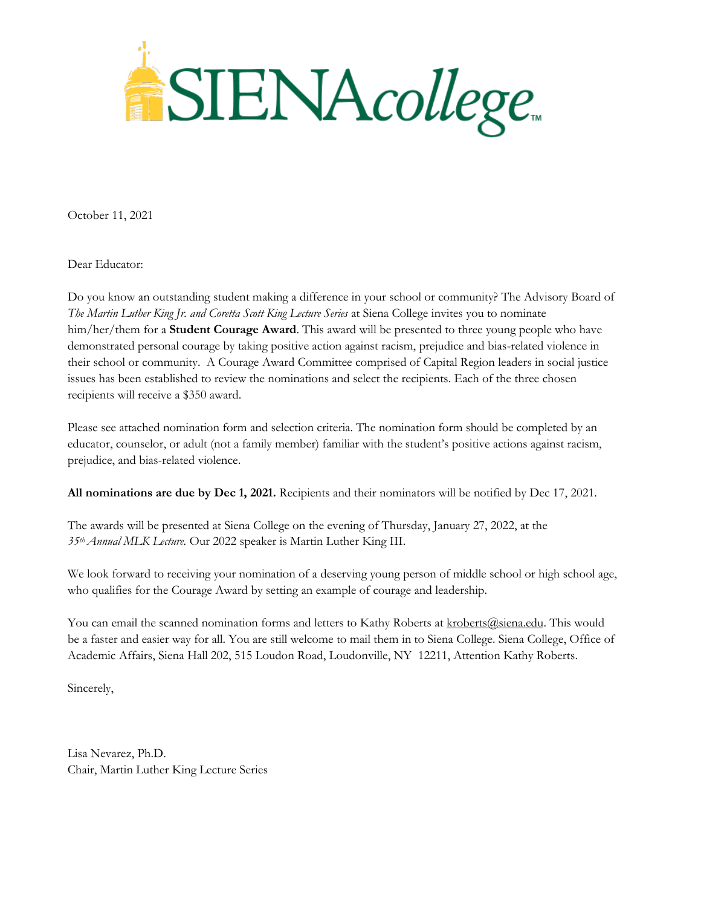

October 11, 2021

Dear Educator:

Do you know an outstanding student making a difference in your school or community? The Advisory Board of *The Martin Luther King Jr. and Coretta Scott King Lecture Series* at Siena College invites you to nominate him/her/them for a **Student Courage Award**. This award will be presented to three young people who have demonstrated personal courage by taking positive action against racism, prejudice and bias-related violence in their school or community. A Courage Award Committee comprised of Capital Region leaders in social justice issues has been established to review the nominations and select the recipients. Each of the three chosen recipients will receive a \$350 award.

Please see attached nomination form and selection criteria. The nomination form should be completed by an educator, counselor, or adult (not a family member) familiar with the student's positive actions against racism, prejudice, and bias-related violence.

**All nominations are due by Dec 1, 2021.** Recipients and their nominators will be notified by Dec 17, 2021.

The awards will be presented at Siena College on the evening of Thursday, January 27, 2022, at the *35th Annual MLK Lecture.* Our 2022 speaker is Martin Luther King III.

We look forward to receiving your nomination of a deserving young person of middle school or high school age, who qualifies for the Courage Award by setting an example of courage and leadership.

You can email the scanned nomination forms and letters to Kathy Roberts at [kroberts@siena.edu.](mailto:kroberts@siena.edu) This would be a faster and easier way for all. You are still welcome to mail them in to Siena College. Siena College, Office of Academic Affairs, Siena Hall 202, 515 Loudon Road, Loudonville, NY 12211, Attention Kathy Roberts.

Sincerely,

Lisa Nevarez, Ph.D. Chair, Martin Luther King Lecture Series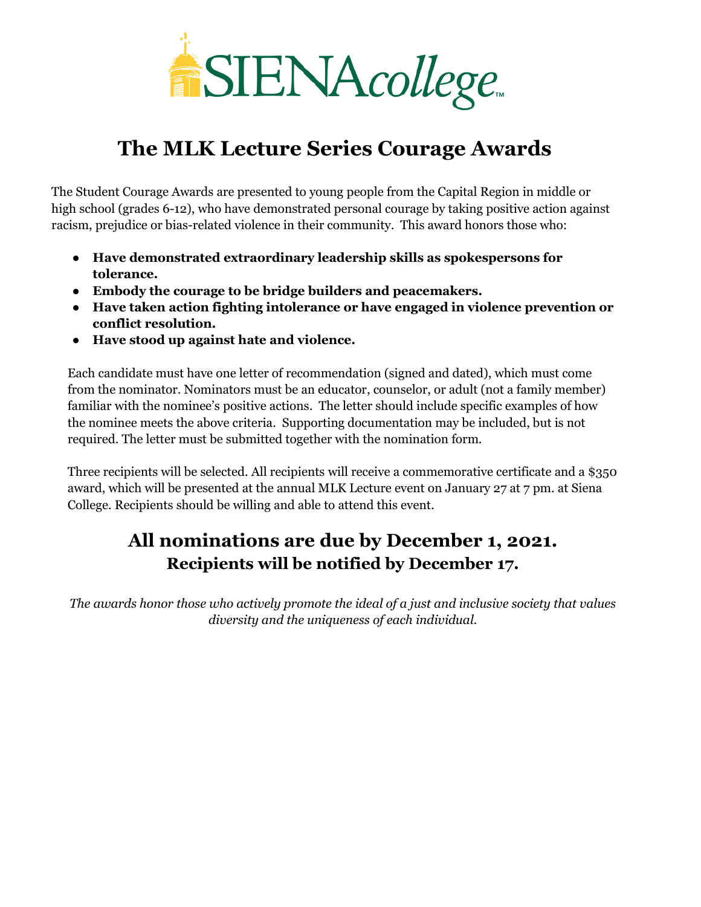

## **The MLK Lecture Series Courage Awards**

The Student Courage Awards are presented to young people from the Capital Region in middle or high school (grades 6-12), who have demonstrated personal courage by taking positive action against racism, prejudice or bias-related violence in their community. This award honors those who:

- **Have demonstrated extraordinary leadership skills as spokespersons for tolerance.**
- **Embody the courage to be bridge builders and peacemakers.**
- **Have taken action fighting intolerance or have engaged in violence prevention or conflict resolution.**
- **Have stood up against hate and violence.**

Each candidate must have one letter of recommendation (signed and dated), which must come from the nominator. Nominators must be an educator, counselor, or adult (not a family member) familiar with the nominee's positive actions. The letter should include specific examples of how the nominee meets the above criteria. Supporting documentation may be included, but is not required. The letter must be submitted together with the nomination form.

Three recipients will be selected. All recipients will receive a commemorative certificate and a \$350 award, which will be presented at the annual MLK Lecture event on January 27 at 7 pm. at Siena College. Recipients should be willing and able to attend this event.

## **All nominations are due by December 1, 2021. Recipients will be notified by December 17.**

*The awards honor those who actively promote the ideal of a just and inclusive society that values diversity and the uniqueness of each individual.*